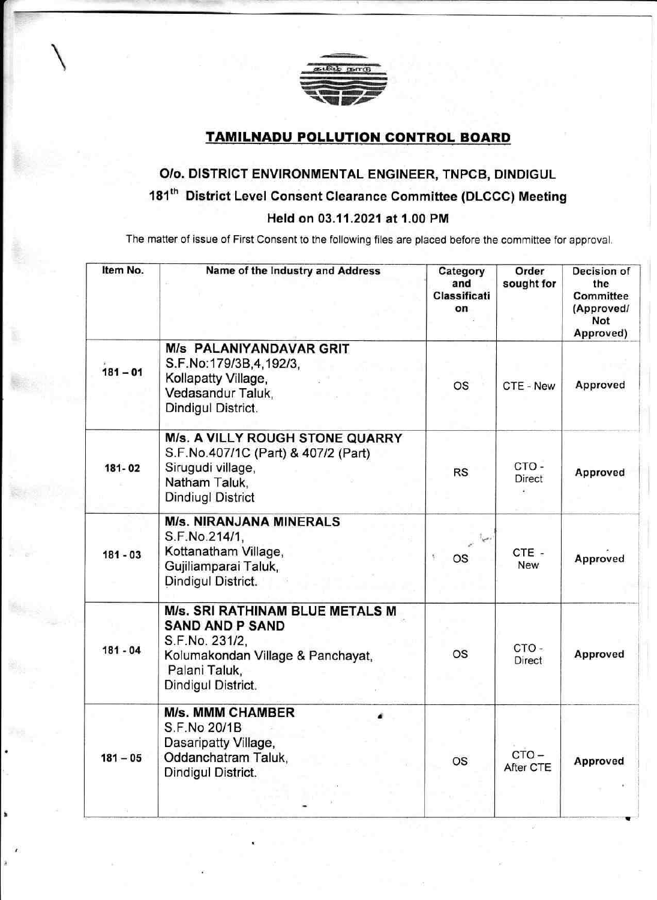

## TAMILNADU POLLUTION GONTROL BOARD

## O/o. DISTRICT ENVIRONMENTAL ENGINEER, TNPCB, DINDIGUL 181<sup>th</sup> District Level Consent Clearance Committee (DLCCC) Meeting Held on 03.11 .2021 at 1.00 PM

The matter of issue of First Consent to the following files are placed before the committee for approval.

| Item No.   | Name of the Industry and Address                                                                                                                        | Category<br>and<br>Classificati<br>on | Order<br>sought for             | Decision of<br>the<br>Committee<br>(Approved/<br>Not<br>Approved) |
|------------|---------------------------------------------------------------------------------------------------------------------------------------------------------|---------------------------------------|---------------------------------|-------------------------------------------------------------------|
| $181 - 01$ | <b>M/s PALANIYANDAVAR GRIT</b><br>S.F.No:179/3B,4,192/3,<br>Kollapatty Village,<br>Vedasandur Taluk,<br>Dindigul District.                              | <b>OS</b>                             | CTE - New                       | Approved                                                          |
| 181-02     | M/s. A VILLY ROUGH STONE QUARRY<br>S.F.No.407/1C (Part) & 407/2 (Part)<br>Sirugudi village,<br>Natham Taluk,<br><b>Dindiugl District</b>                | <b>RS</b>                             | CTO-<br>Direct<br>$\frac{1}{2}$ | Approved                                                          |
| $181 - 03$ | <b>M/s. NIRANJANA MINERALS</b><br>S.F.No.214/1,<br>Kottanatham Village,<br>Gujiliamparai Taluk,<br>Dindigul District.                                   | OS                                    | CTE-<br><b>New</b>              | Approved                                                          |
| $181 - 04$ | M/s. SRI RATHINAM BLUE METALS M<br><b>SAND AND P SAND</b><br>S.F.No. 231/2,<br>Kolumakondan Village & Panchayat,<br>Palani Taluk,<br>Dindigul District. | <b>OS</b>                             | CTO-<br><b>Direct</b>           | Approved                                                          |
| $181 - 05$ | <b>M/s. MMM CHAMBER</b><br>S.F.No 20/1B<br>Dasaripatty Village,<br>Oddanchatram Taluk,<br>Dindigul District.                                            | <b>OS</b>                             | $CTO -$<br>After CTE            | Approved                                                          |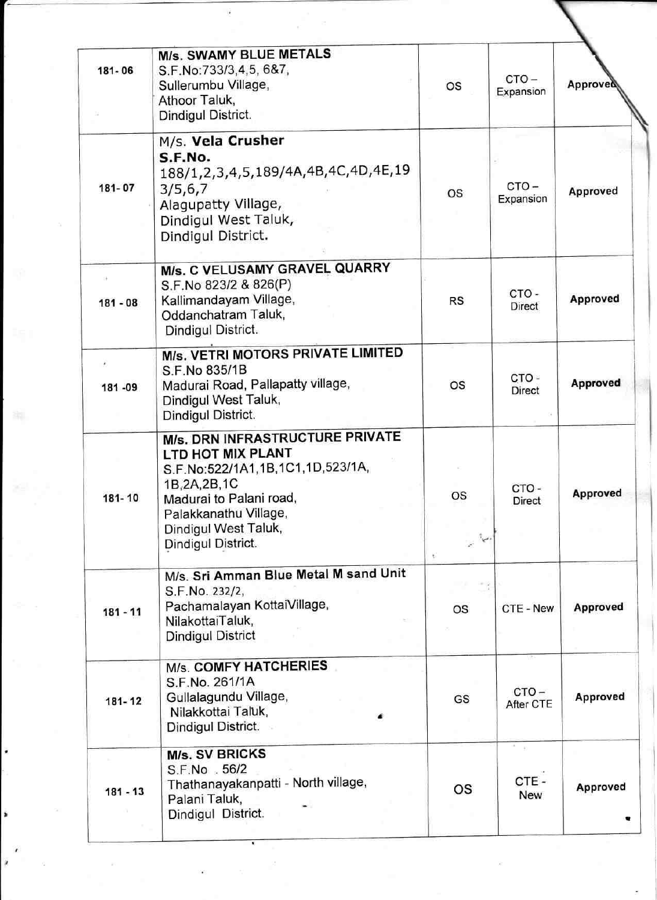| 181-06     | <b>M/s. SWAMY BLUE METALS</b><br>S.F.No:733/3,4,5, 6&7,<br>Sullerumbu Village,<br>Athoor Taluk,<br>Dindigul District.                                                                                        | <b>OS</b>                 | $CTO -$<br>Expansion                             | Approved        |
|------------|--------------------------------------------------------------------------------------------------------------------------------------------------------------------------------------------------------------|---------------------------|--------------------------------------------------|-----------------|
| 181-07     | M/s. Vela Crusher<br>S.F.No.<br>188/1,2,3,4,5,189/4A,4B,4C,4D,4E,19<br>3/5, 6, 7<br>Alagupatty Village,<br>Dindigul West Taluk,<br>Dindigul District.                                                        | <b>OS</b>                 | $CTO -$<br>Expansion                             | Approved        |
| $181 - 08$ | M/s. C VELUSAMY GRAVEL QUARRY<br>S.F.No 823/2 & 826(P)<br>Kallimandayam Village,<br>Oddanchatram Taluk,<br>Dindigul District.                                                                                | <b>RS</b>                 | CTO-<br>Direct                                   | Approved        |
| 181-09     | M/s. VETRI MOTORS PRIVATE LIMITED<br>S.F.No 835/1B<br>Madurai Road, Pallapatty village,<br>Dindigul West Taluk,<br>Dindigul District.                                                                        | <b>OS</b>                 | CTO-<br><b>Direct</b>                            | Approved        |
| 181-10     | M/s. DRN INFRASTRUCTURE PRIVATE<br>LTD HOT MIX PLANT<br>S.F.No:522/1A1,1B,1C1,1D,523/1A,<br>1B, 2A, 2B, 1C<br>Madurai to Palani road,<br>Palakkanathu Village,<br>Dindigul West Taluk,<br>Dindigul District. | <b>OS</b><br>المناد<br>Ķ. | CTO-<br>Direct                                   | <b>Approved</b> |
| $181 - 11$ | M/s. Sri Amman Blue Metal M sand Unit<br>S.F.No. 232/2,<br>Pachamalayan KottaiVillage,<br>NilakottaiTaluk,<br><b>Dindigul District</b>                                                                       | OS                        | CTE - New                                        | Approved        |
| 181-12     | <b>M/s. COMFY HATCHERIES</b><br>S.F.No. 261/1A<br>Gullalagundu Village,<br>Nilakkottai Taluk,<br>Dindigul District.                                                                                          | GS                        | $CTO -$<br>After CTE                             | Approved        |
| $181 - 13$ | <b>M/s. SV BRICKS</b><br>S.F.No . 56/2<br>Thathanayakanpatti - North village,<br>Palani Taluk,<br>Dindigul District.                                                                                         | OS                        | $\frac{\pi}{2}$ = $\frac{\pi}{2}$<br>CTE-<br>New | Approved        |

 $\label{eq:R1} \begin{array}{cc} \mathbb{D} & & \\ & \mathbb{D} & \\ & & \mathbb{D} \end{array}$ 

 $\alpha$ 

š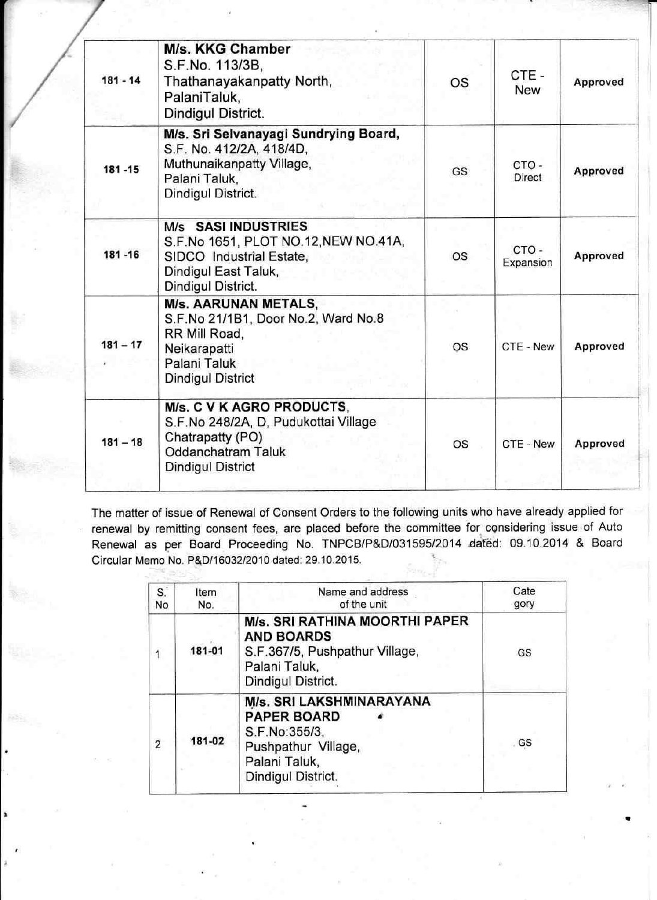| $181 - 14$ | M/s. KKG Chamber<br>S.F.No. 113/3B,<br>Thathanayakanpatty North,<br>PalaniTaluk,<br>Dindigul District.                                          | <b>OS</b> | CTE -<br><b>New</b> | Approved |
|------------|-------------------------------------------------------------------------------------------------------------------------------------------------|-----------|---------------------|----------|
| 181-15     | M/s. Sri Selvanayagi Sundrying Board,<br>S.F. No. 412/2A, 418/4D,<br>Muthunaikanpatty Village,<br>Palani Taluk,<br>Dindigul District.           | GS        | CTO-<br>Direct      | Approved |
| 181-16     | M/s SASI INDUSTRIES<br>S.F.No 1651, PLOT NO.12, NEW NO.41A,<br>SIDCO Industrial Estate,<br>Dindigul East Taluk,<br>Dindigul District.           | os        | CTO-<br>Expansion   | Approved |
| $181 - 17$ | <b>M/s. AARUNAN METALS,</b><br>S.F.No 21/1B1, Door No.2, Ward No.8<br>RR Mill Road,<br>Neikarapatti<br>Palani Taluk<br><b>Dindigul District</b> | <b>OS</b> | CTE - New           | Approved |
| $181 - 18$ | M/s. C V K AGRO PRODUCTS,<br>S.F.No 248/2A, D, Pudukottai Village<br>Chatrapatty (PO)<br>Oddanchatram Taluk<br>Dindigul District                | OS        | CTE - New           | Approved |

The matter of issue of Renewal of Consent Orders to the following units who have already applied for renewal by remitting consent fees, are placed before the committee for cgnsidering issue of Auto Renewal as per Board Proceeding No. TNPCB/P&D/031595/2014 dated: 09.10.2014 & Board Circular Memo No. P&D/16032/2010 dated: 29.10.2015.

| $S^{\cdot}$<br>No | Item<br>No. | Name and address<br>of the unit                                                                                               | Cate<br>gory |
|-------------------|-------------|-------------------------------------------------------------------------------------------------------------------------------|--------------|
|                   | 181-01      | M/s. SRI RATHINA MOORTHI PAPER<br><b>AND BOARDS</b><br>S.F.367/5, Pushpathur Village,<br>Palani Taluk,<br>Dindigul District.  | GS           |
| $\overline{2}$    | 181-02      | M/s. SRI LAKSHMINARAYANA<br><b>PAPER BOARD</b><br>S.F.No:355/3,<br>Pushpathur Village,<br>Palani Taluk,<br>Dindigul District. | GS           |